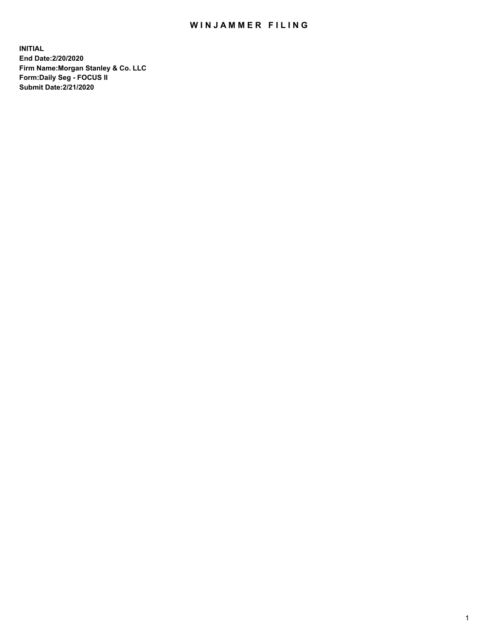## WIN JAMMER FILING

**INITIAL End Date:2/20/2020 Firm Name:Morgan Stanley & Co. LLC Form:Daily Seg - FOCUS II Submit Date:2/21/2020**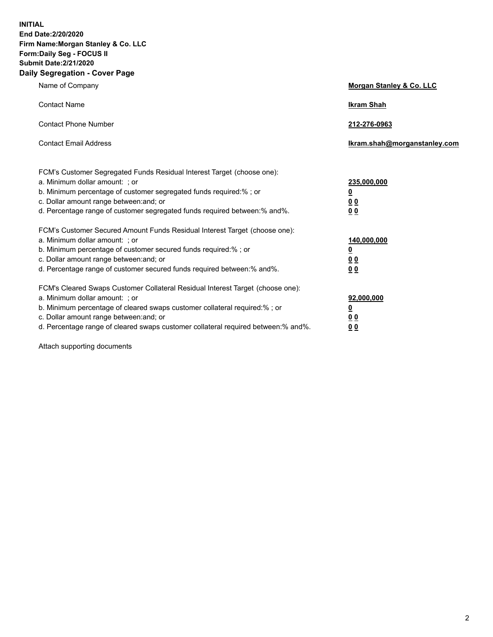**INITIAL End Date:2/20/2020 Firm Name:Morgan Stanley & Co. LLC Form:Daily Seg - FOCUS II Submit Date:2/21/2020 Daily Segregation - Cover Page**

| Name of Company                                                                                                                                                                                                                                                                                                                | Morgan Stanley & Co. LLC                               |
|--------------------------------------------------------------------------------------------------------------------------------------------------------------------------------------------------------------------------------------------------------------------------------------------------------------------------------|--------------------------------------------------------|
| <b>Contact Name</b>                                                                                                                                                                                                                                                                                                            | <b>Ikram Shah</b>                                      |
| <b>Contact Phone Number</b>                                                                                                                                                                                                                                                                                                    | 212-276-0963                                           |
| <b>Contact Email Address</b>                                                                                                                                                                                                                                                                                                   | Ikram.shah@morganstanley.com                           |
| FCM's Customer Segregated Funds Residual Interest Target (choose one):<br>a. Minimum dollar amount: ; or<br>b. Minimum percentage of customer segregated funds required:% ; or<br>c. Dollar amount range between: and; or<br>d. Percentage range of customer segregated funds required between: % and %.                       | 235,000,000<br><u>0</u><br>00<br>0 <sub>0</sub>        |
| FCM's Customer Secured Amount Funds Residual Interest Target (choose one):<br>a. Minimum dollar amount: ; or<br>b. Minimum percentage of customer secured funds required:%; or<br>c. Dollar amount range between: and; or<br>d. Percentage range of customer secured funds required between:% and%.                            | 140,000,000<br><u>0</u><br><u>00</u><br>0 <sub>0</sub> |
| FCM's Cleared Swaps Customer Collateral Residual Interest Target (choose one):<br>a. Minimum dollar amount: ; or<br>b. Minimum percentage of cleared swaps customer collateral required:% ; or<br>c. Dollar amount range between: and; or<br>d. Percentage range of cleared swaps customer collateral required between:% and%. | 92,000,000<br><u>0</u><br><u>00</u><br>0 <sub>0</sub>  |

Attach supporting documents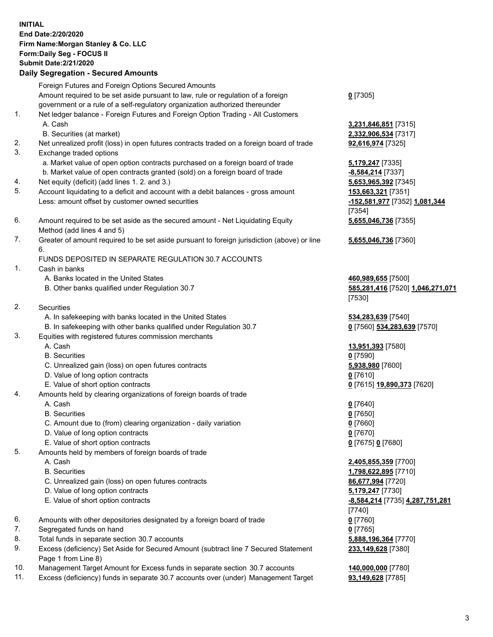## **INITIAL End Date:2/20/2020 Firm Name:Morgan Stanley & Co. LLC Form:Daily Seg - FOCUS II Submit Date:2/21/2020 Daily Segregation - Secured Amounts** Foreign Futures and Foreign Options Secured Amounts Amount required to be set aside pursuant to law, rule or regulation of a foreign government or a rule of a self-regulatory organization authorized thereunder **0** [7305] 1. Net ledger balance - Foreign Futures and Foreign Option Trading - All Customers A. Cash **3,231,846,851** [7315] B. Securities (at market) **2,332,906,534** [7317] 2. Net unrealized profit (loss) in open futures contracts traded on a foreign board of trade **92,616,974** [7325] 3. Exchange traded options a. Market value of open option contracts purchased on a foreign board of trade **5,179,247** [7335] b. Market value of open contracts granted (sold) on a foreign board of trade **-8,584,214** [7337] 4. Net equity (deficit) (add lines 1. 2. and 3.) **5,653,965,392** [7345] 5. Account liquidating to a deficit and account with a debit balances - gross amount **153,663,321** [7351] Less: amount offset by customer owned securities **-152,581,977** [7352] **1,081,344** [7354] 6. Amount required to be set aside as the secured amount - Net Liquidating Equity Method (add lines 4 and 5) 7. Greater of amount required to be set aside pursuant to foreign jurisdiction (above) or line 6. FUNDS DEPOSITED IN SEPARATE REGULATION 30.7 ACCOUNTS 1. Cash in banks A. Banks located in the United States **460,989,655** [7500] B. Other banks qualified under Regulation 30.7 **585,281,416** [7520] **1,046,271,071** [7530] 2. Securities A. In safekeeping with banks located in the United States **534,283,639** [7540] B. In safekeeping with other banks qualified under Regulation 30.7 **0** [7560] **534,283,639** [7570] 3. Equities with registered futures commission merchants A. Cash **13,951,393** [7580] B. Securities **0** [7590] C. Unrealized gain (loss) on open futures contracts **5,938,980** [7600] D. Value of long option contracts **0** [7610] E. Value of short option contracts **0** [7615] **19,890,373** [7620] 4. Amounts held by clearing organizations of foreign boards of trade A. Cash **0** [7640] B. Securities **0** [7650] C. Amount due to (from) clearing organization - daily variation **0** [7660] D. Value of long option contracts **0** [7670] E. Value of short option contracts **0** [7675] **0** [7680] 5. Amounts held by members of foreign boards of trade A. Cash **2,405,855,359** [7700] B. Securities **1,798,622,895** [7710] C. Unrealized gain (loss) on open futures contracts **86,677,994** [7720] D. Value of long option contracts **5,179,247** [7730] E. Value of short option contracts **-8,584,214** [7735] **4,287,751,281** [7740] 6. Amounts with other depositories designated by a foreign board of trade **0** [7760] 7. Segregated funds on hand **0** [7765] 8. Total funds in separate section 30.7 accounts **5,888,196,364** [7770] 9. Excess (deficiency) Set Aside for Secured Amount (subtract line 7 Secured Statement Page 1 from Line 8)

- 10. Management Target Amount for Excess funds in separate section 30.7 accounts **140,000,000** [7780]
- 11. Excess (deficiency) funds in separate 30.7 accounts over (under) Management Target **93,149,628** [7785]

**5,655,046,736** [7355]

**5,655,046,736** [7360]

**233,149,628** [7380]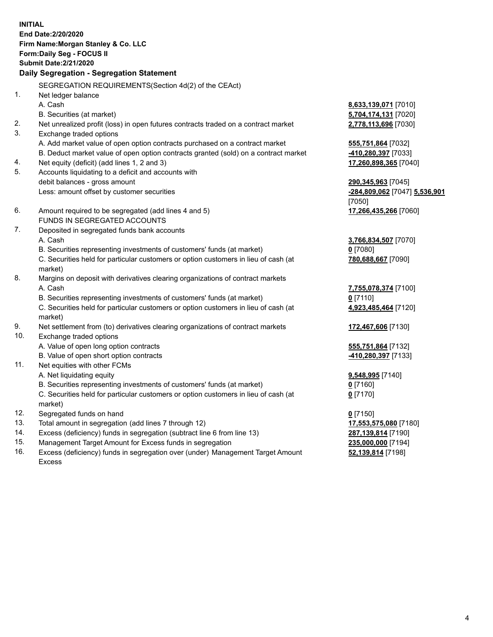**INITIAL End Date:2/20/2020 Firm Name:Morgan Stanley & Co. LLC Form:Daily Seg - FOCUS II Submit Date:2/21/2020 Daily Segregation - Segregation Statement** SEGREGATION REQUIREMENTS(Section 4d(2) of the CEAct) 1. Net ledger balance A. Cash **8,633,139,071** [7010] B. Securities (at market) **5,704,174,131** [7020] 2. Net unrealized profit (loss) in open futures contracts traded on a contract market **2,778,113,696** [7030] 3. Exchange traded options A. Add market value of open option contracts purchased on a contract market **555,751,864** [7032] B. Deduct market value of open option contracts granted (sold) on a contract market **-410,280,397** [7033] 4. Net equity (deficit) (add lines 1, 2 and 3) **17,260,898,365** [7040] 5. Accounts liquidating to a deficit and accounts with debit balances - gross amount **290,345,963** [7045] Less: amount offset by customer securities **-284,809,062** [7047] **5,536,901** [7050] 6. Amount required to be segregated (add lines 4 and 5) **17,266,435,266** [7060] FUNDS IN SEGREGATED ACCOUNTS 7. Deposited in segregated funds bank accounts A. Cash **3,766,834,507** [7070] B. Securities representing investments of customers' funds (at market) **0** [7080] C. Securities held for particular customers or option customers in lieu of cash (at market) **780,688,667** [7090] 8. Margins on deposit with derivatives clearing organizations of contract markets A. Cash **7,755,078,374** [7100] B. Securities representing investments of customers' funds (at market) **0** [7110] C. Securities held for particular customers or option customers in lieu of cash (at market) **4,923,485,464** [7120] 9. Net settlement from (to) derivatives clearing organizations of contract markets **172,467,606** [7130] 10. Exchange traded options A. Value of open long option contracts **555,751,864** [7132] B. Value of open short option contracts **and the set of our or the CO** and the *-410,280,397* [7133] 11. Net equities with other FCMs A. Net liquidating equity **9,548,995** [7140] B. Securities representing investments of customers' funds (at market) **0** [7160] C. Securities held for particular customers or option customers in lieu of cash (at market) **0** [7170] 12. Segregated funds on hand **0** [7150] 13. Total amount in segregation (add lines 7 through 12) **17,553,575,080** [7180] 14. Excess (deficiency) funds in segregation (subtract line 6 from line 13) **287,139,814** [7190]

- 15. Management Target Amount for Excess funds in segregation **235,000,000** [7194]
- 16. Excess (deficiency) funds in segregation over (under) Management Target Amount Excess

**52,139,814** [7198]